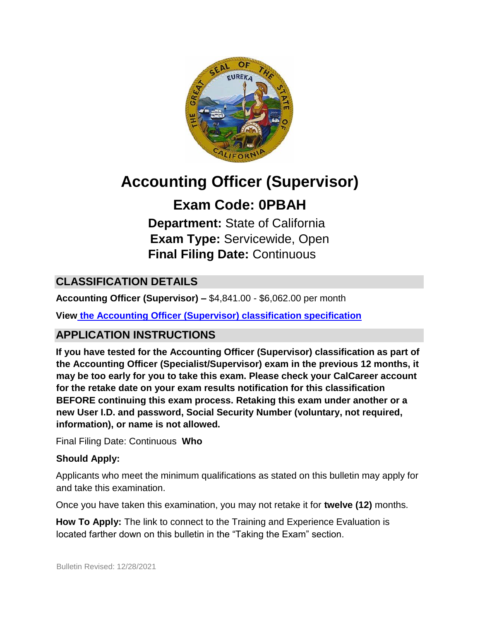

# **Accounting Officer (Supervisor)**

# **Exam Code: 0PBAH**

**Department:** State of California **Exam Type:** Servicewide, Open **Final Filing Date:** Continuous

# **CLASSIFICATION DETAILS**

**Accounting Officer (Supervisor) –** \$4,841.00 - \$6,062.00 per month

**Vie[w](https://www.calhr.ca.gov/state-hr-professionals/pages/4179.aspx) [the](https://www.calhr.ca.gov/state-hr-professionals/pages/4179.aspx) [Accounting Officer \(Supervisor\) classification specification](https://www.calhr.ca.gov/state-hr-professionals/pages/4179.aspx)**

## **APPLICATION INSTRUCTIONS**

**If you have tested for the Accounting Officer (Supervisor) classification as part of the Accounting Officer (Specialist/Supervisor) exam in the previous 12 months, it may be too early for you to take this exam. Please check your CalCareer account for the retake date on your exam results notification for this classification BEFORE continuing this exam process. Retaking this exam under another or a new User I.D. and password, Social Security Number (voluntary, not required, information), or name is not allowed.**

Final Filing Date: Continuous **Who** 

#### **Should Apply:**

Applicants who meet the minimum qualifications as stated on this bulletin may apply for and take this examination.

Once you have taken this examination, you may not retake it for **twelve (12)** months.

**How To Apply:** The link to connect to the Training and Experience Evaluation is located farther down on this bulletin in the "Taking the Exam" section.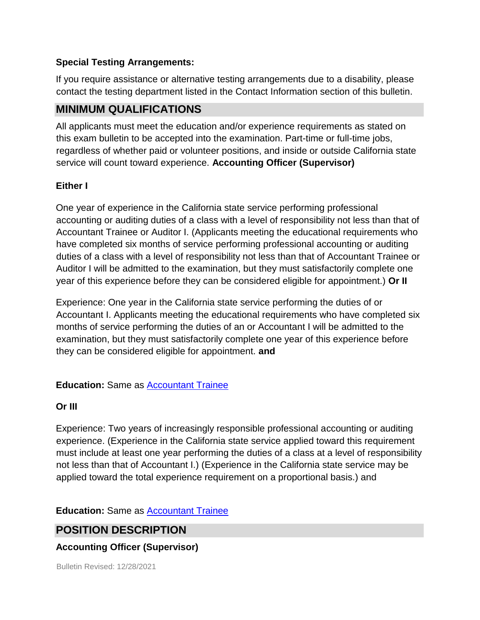#### **Special Testing Arrangements:**

If you require assistance or alternative testing arrangements due to a disability, please contact the testing department listed in the Contact Information section of this bulletin.

### **MINIMUM QUALIFICATIONS**

All applicants must meet the education and/or experience requirements as stated on this exam bulletin to be accepted into the examination. Part-time or full-time jobs, regardless of whether paid or volunteer positions, and inside or outside California state service will count toward experience. **Accounting Officer (Supervisor)** 

#### **Either I**

One year of experience in the California state service performing professional accounting or auditing duties of a class with a level of responsibility not less than that of Accountant Trainee or Auditor I. (Applicants meeting the educational requirements who have completed six months of service performing professional accounting or auditing duties of a class with a level of responsibility not less than that of Accountant Trainee or Auditor I will be admitted to the examination, but they must satisfactorily complete one year of this experience before they can be considered eligible for appointment.) **Or II** 

Experience: One year in the California state service performing the duties of or Accountant I. Applicants meeting the educational requirements who have completed six months of service performing the duties of an or Accountant I will be admitted to the examination, but they must satisfactorily complete one year of this experience before they can be considered eligible for appointment. **and** 

#### **Education:** Same as [Accountant Trainee](https://www.calhr.ca.gov/state-hr-professionals/pages/4179.aspx)

#### **Or III**

Experience: Two years of increasingly responsible professional accounting or auditing experience. (Experience in the California state service applied toward this requirement must include at least one year performing the duties of a class at a level of responsibility not less than that of Accountant I.) (Experience in the California state service may be applied toward the total experience requirement on a proportional basis.) and

**Education:** Same as **Accountant Trainee** 

## **POSITION DESCRIPTION**

#### **Accounting Officer (Supervisor)**

Bulletin Revised: 12/28/2021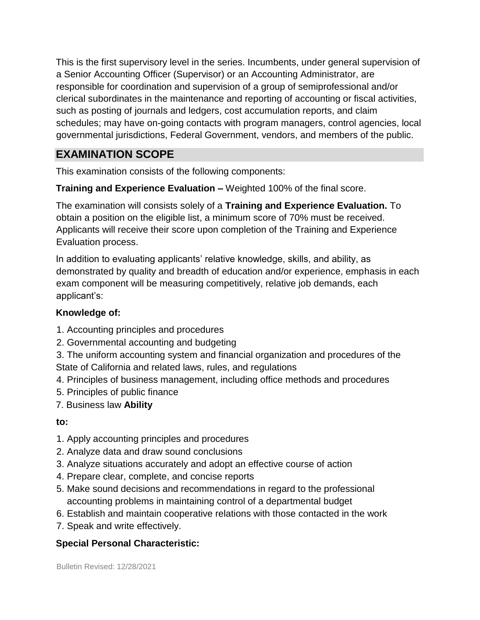This is the first supervisory level in the series. Incumbents, under general supervision of a Senior Accounting Officer (Supervisor) or an Accounting Administrator, are responsible for coordination and supervision of a group of semiprofessional and/or clerical subordinates in the maintenance and reporting of accounting or fiscal activities, such as posting of journals and ledgers, cost accumulation reports, and claim schedules; may have on-going contacts with program managers, control agencies, local governmental jurisdictions, Federal Government, vendors, and members of the public.

# **EXAMINATION SCOPE**

This examination consists of the following components:

**Training and Experience Evaluation –** Weighted 100% of the final score.

The examination will consists solely of a **Training and Experience Evaluation.** To obtain a position on the eligible list, a minimum score of 70% must be received. Applicants will receive their score upon completion of the Training and Experience Evaluation process.

In addition to evaluating applicants' relative knowledge, skills, and ability, as demonstrated by quality and breadth of education and/or experience, emphasis in each exam component will be measuring competitively, relative job demands, each applicant's:

#### **Knowledge of:**

- 1. Accounting principles and procedures
- 2. Governmental accounting and budgeting

3. The uniform accounting system and financial organization and procedures of the State of California and related laws, rules, and regulations

- 4. Principles of business management, including office methods and procedures
- 5. Principles of public finance
- 7. Business law **Ability**

#### **to:**

- 1. Apply accounting principles and procedures
- 2. Analyze data and draw sound conclusions
- 3. Analyze situations accurately and adopt an effective course of action
- 4. Prepare clear, complete, and concise reports
- 5. Make sound decisions and recommendations in regard to the professional accounting problems in maintaining control of a departmental budget
- 6. Establish and maintain cooperative relations with those contacted in the work
- 7. Speak and write effectively.

#### **Special Personal Characteristic:**

Bulletin Revised: 12/28/2021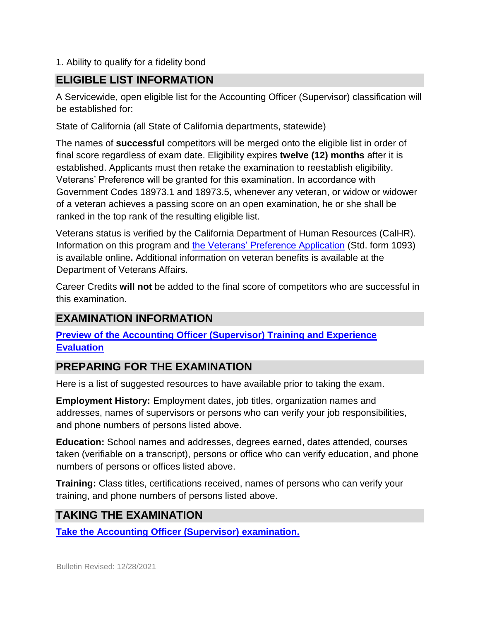1. Ability to qualify for a fidelity bond

## **ELIGIBLE LIST INFORMATION**

A Servicewide, open eligible list for the Accounting Officer (Supervisor) classification will be established for:

State of California (all State of California departments, statewide)

The names of **successful** competitors will be merged onto the eligible list in order of final score regardless of exam date. Eligibility expires **twelve (12) months** after it is established. Applicants must then retake the examination to reestablish eligibility. Veterans' Preference will be granted for this examination. In accordance with Government Codes 18973.1 and 18973.5, whenever any veteran, or widow or widower of a veteran achieves a passing score on an open examination, he or she shall be ranked in the top rank of the resulting eligible list.

Veterans status is verified by the California Department of Human Resources (CalHR). Information on this program and [the Veterans' Preference Application](https://www.jobs.ca.gov/CalHRPublic/Landing/Jobs/VeteransInformation.aspx) [\(](https://www.jobs.ca.gov/CalHRPublic/Landing/Jobs/VeteransInformation.aspx)Std. form 1093) is available online**.** Additional information on veteran benefits is available at the Department of Veterans Affairs.

Career Credits **will not** be added to the final score of competitors who are successful in this examination.

## **EXAMINATION INFORMATION**

**[Preview of the](https://jobs.ca.gov/jobsgen/0PBAHA.pdf) [Accounting Officer \(Supervisor\)](https://jobs.ca.gov/jobsgen/0PBAHA.pdf) [Training and Experience](https://jobs.ca.gov/jobsgen/0PBAHA.pdf) [Evaluation](https://jobs.ca.gov/jobsgen/0PBAHA.pdf)**

## **PREPARING FOR THE EXAMINATION**

Here is a list of suggested resources to have available prior to taking the exam.

**Employment History:** Employment dates, job titles, organization names and addresses, names of supervisors or persons who can verify your job responsibilities, and phone numbers of persons listed above.

**Education:** School names and addresses, degrees earned, dates attended, courses taken (verifiable on a transcript), persons or office who can verify education, and phone numbers of persons or offices listed above.

**Training:** Class titles, certifications received, names of persons who can verify your training, and phone numbers of persons listed above.

## **TAKING THE EXAMINATION**

**[Take the Accounting Officer \(Supervisor\)](https://www.jobs.ca.gov/CalHRPublic/Login.aspx?ExamId=0PBAH) [examination.](https://www.jobs.ca.gov/CalHRPublic/Login.aspx?ExamId=0PBAH)**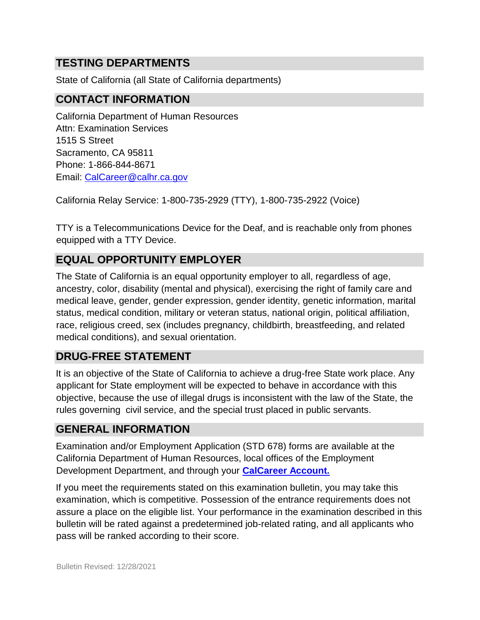## **TESTING DEPARTMENTS**

State of California (all State of California departments)

## **CONTACT INFORMATION**

California Department of Human Resources Attn: Examination Services 1515 S Street Sacramento, CA 95811 Phone: 1-866-844-8671 Email: CalCareer@calhr.ca.gov

California Relay Service: 1-800-735-2929 (TTY), 1-800-735-2922 (Voice)

TTY is a Telecommunications Device for the Deaf, and is reachable only from phones equipped with a TTY Device.

## **EQUAL OPPORTUNITY EMPLOYER**

The State of California is an equal opportunity employer to all, regardless of age, ancestry, color, disability (mental and physical), exercising the right of family care and medical leave, gender, gender expression, gender identity, genetic information, marital status, medical condition, military or veteran status, national origin, political affiliation, race, religious creed, sex (includes pregnancy, childbirth, breastfeeding, and related medical conditions), and sexual orientation.

## **DRUG-FREE STATEMENT**

It is an objective of the State of California to achieve a drug-free State work place. Any applicant for State employment will be expected to behave in accordance with this objective, because the use of illegal drugs is inconsistent with the law of the State, the rules governing civil service, and the special trust placed in public servants.

## **GENERAL INFORMATION**

Examination and/or Employment Application (STD 678) forms are available at the California Department of Human Resources, local offices of the Employment Development Department, and through your **[CalCareer Account.](http://www.jobs.ca.gov/)**

If you meet the requirements stated on this examination bulletin, you may take this examination, which is competitive. Possession of the entrance requirements does not assure a place on the eligible list. Your performance in the examination described in this bulletin will be rated against a predetermined job-related rating, and all applicants who pass will be ranked according to their score.